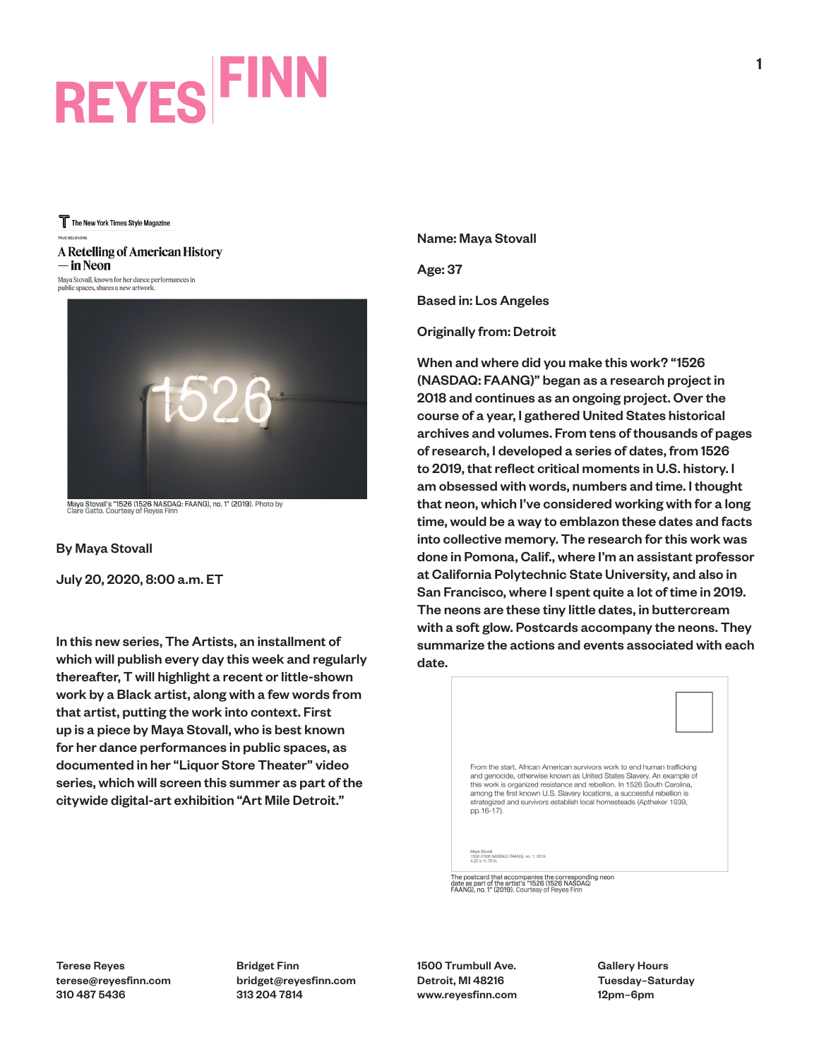# **REYES FINN**

The New York Times Style Magazine

### A Retelling of American History — in Neon

Maya Stovall, known for her dance performances in public spaces, shares a new artwork.



Maya Stovall's "1526 (1526 NASDAQ: FAANG), no. 1" (2019). Photo by<br>Clare Gatto. Courtesy of Reyes Finn

By Maya Stovall

July 20, 2020, 8:00 a.m. ET

In this new series, The Artists, an installment of which will publish every day this week and regularly thereafter, T will highlight a recent or little-shown work by a Black artist, along with a few words from that artist, putting the work into context. First up is a piece by Maya Stovall, who is best known for her dance performances in public spaces, as documented in her "Liquor Store Theater" video series, which will screen this summer as part of the citywide digital-art exhibition "Art Mile Detroit."

Name: Maya Stovall

Age: 37

Based in: Los Angeles

Originally from: Detroit

When and where did you make this work? "1526 (NASDAQ: FAANG)" began as a research project in 2018 and continues as an ongoing project. Over the course of a year, I gathered United States historical archives and volumes. From tens of thousands of pages of research, I developed a series of dates, from 1526 to 2019, that reflect critical moments in U.S. history. I am obsessed with words, numbers and time. I thought that neon, which I've considered working with for a long time, would be a way to emblazon these dates and facts into collective memory. The research for this work was done in Pomona, Calif., where I'm an assistant professor at California Polytechnic State University, and also in San Francisco, where I spent quite a lot of time in 2019. The neons are these tiny little dates, in buttercream with a soft glow. Postcards accompany the neons. They summarize the actions and events associated with each date.



The postcard that accompanies the corresponding neon<br>date as part of the artist's "1526 (1526 NASDAQ:<br>FAANG), no. 1" (2019). Courtesy of Reyes Finn

Terese Reyes terese@reyesfinn.com 310 487 5436

Bridget Finn bridget@reyesfinn.com 313 204 7814

1500 Trumbull Ave. Detroit, MI 48216 www.reyesfinn.com Gallery Hours Tuesday–Saturday 12pm–6pm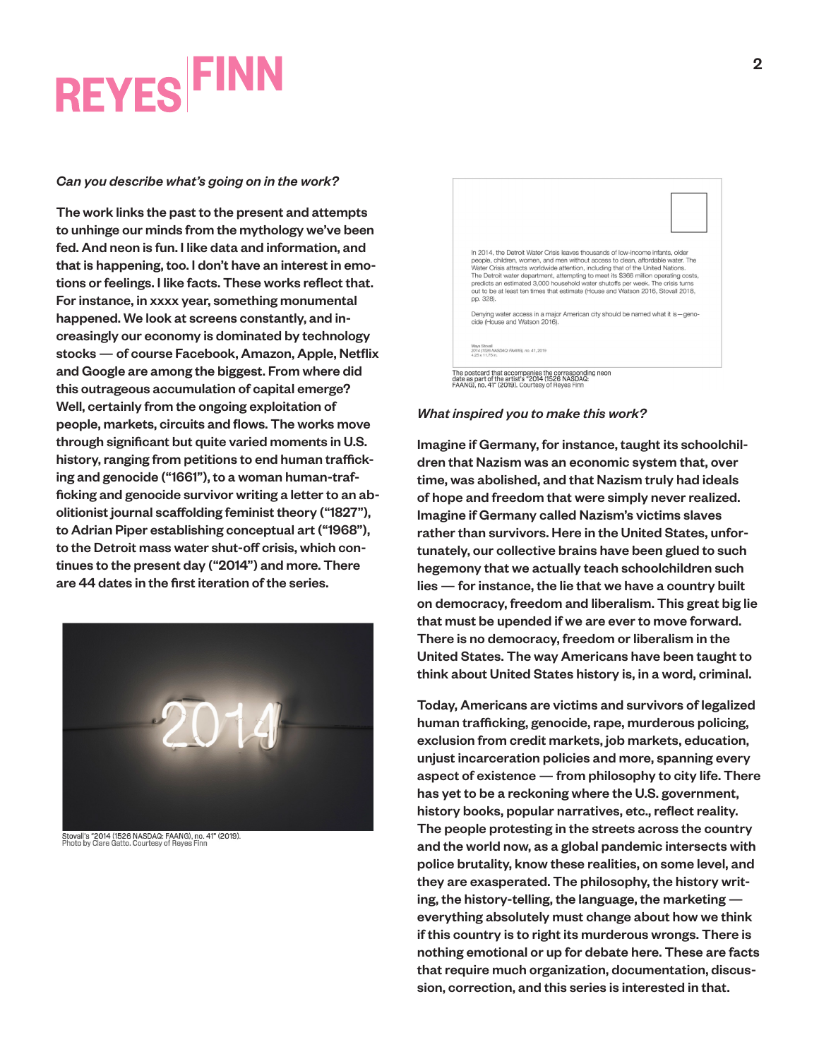### **REYES FINN**

### *Can you describe what's going on in the work?*

The work links the past to the present and attempts to unhinge our minds from the mythology we've been fed. And neon is fun. I like data and information, and that is happening, too. I don't have an interest in emotions or feelings. I like facts. These works reflect that. For instance, in xxxx year, something monumental happened. We look at screens constantly, and increasingly our economy is dominated by technology stocks — of course Facebook, Amazon, Apple, Netflix and Google are among the biggest. From where did this outrageous accumulation of capital emerge? Well, certainly from the ongoing exploitation of people, markets, circuits and flows. The works move through significant but quite varied moments in U.S. history, ranging from petitions to end human trafficking and genocide ("1661"), to a woman human-trafficking and genocide survivor writing a letter to an abolitionist journal scaffolding feminist theory ("1827"), to Adrian Piper establishing conceptual art ("1968"), to the Detroit mass water shut-off crisis, which continues to the present day ("2014") and more. There are 44 dates in the first iteration of the series.



Stovall's "2014 (1526 NASDAQ: FAANG), no. 41" (2019).<br>Photo by Clare Gatto. Courtesy of Reyes Finn



### *What inspired you to make this work?*

Imagine if Germany, for instance, taught its schoolchildren that Nazism was an economic system that, over time, was abolished, and that Nazism truly had ideals of hope and freedom that were simply never realized. Imagine if Germany called Nazism's victims slaves rather than survivors. Here in the United States, unfortunately, our collective brains have been glued to such hegemony that we actually teach schoolchildren such lies — for instance, the lie that we have a country built on democracy, freedom and liberalism. This great big lie that must be upended if we are ever to move forward. There is no democracy, freedom or liberalism in the United States. The way Americans have been taught to think about United States history is, in a word, criminal.

Today, Americans are victims and survivors of legalized human trafficking, genocide, rape, murderous policing, exclusion from credit markets, job markets, education, unjust incarceration policies and more, spanning every aspect of existence — from philosophy to city life. There has yet to be a reckoning where the U.S. government, history books, popular narratives, etc., reflect reality. The people protesting in the streets across the country and the world now, as a global pandemic intersects with police brutality, know these realities, on some level, and they are exasperated. The philosophy, the history writing, the history-telling, the language, the marketing everything absolutely must change about how we think if this country is to right its murderous wrongs. There is nothing emotional or up for debate here. These are facts that require much organization, documentation, discussion, correction, and this series is interested in that.